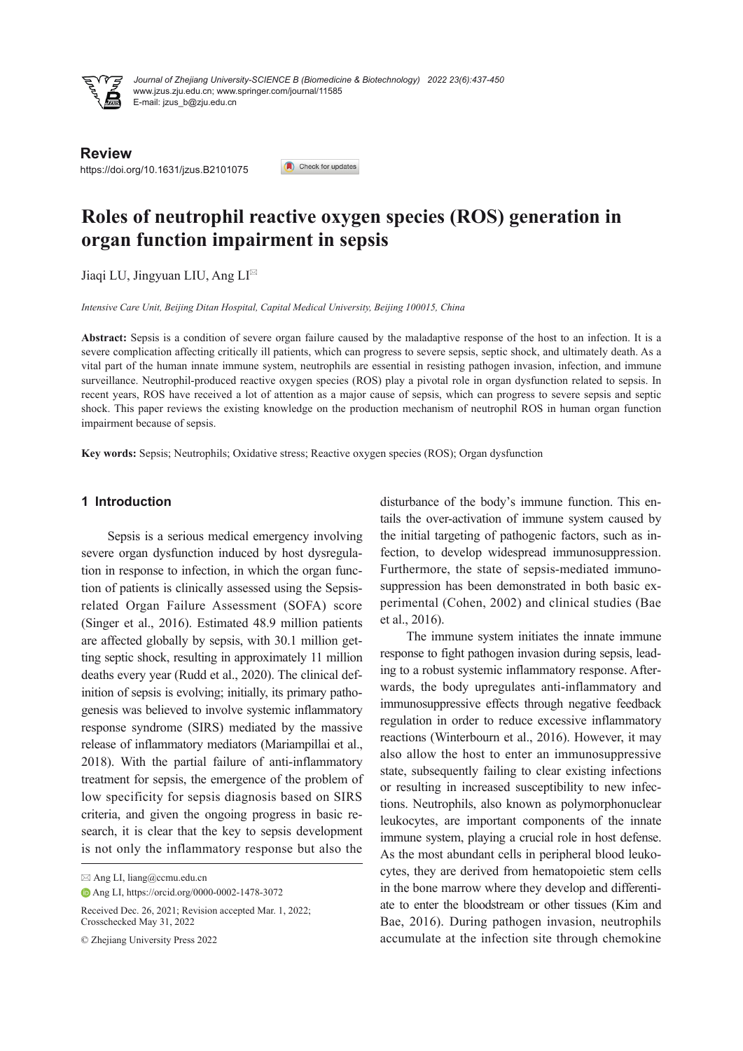

www.jzus.zju.edu.cn; www.springer.com/journal/11585 E-mail: jzus\_b@zju.edu.cn *Journal of Zhejiang University-SCIENCE B (Biomedicine & Biotechnology) 2022 23(6):437-450*

**Review**

https://doi.org/10.1631/jzus.B2101075

#### Check for updates

# **Roles of neutrophil reactive oxygen species (ROS) generation in organ function impairment in sepsis**

Jiaqi LU, Jingyuan LIU, Ang LI<sup>⊠</sup>

*Intensive Care Unit, Beijing Ditan Hospital, Capital Medical University, Beijing 100015, China*

**Abstract:** Sepsis is a condition of severe organ failure caused by the maladaptive response of the host to an infection. It is a severe complication affecting critically ill patients, which can progress to severe sepsis, septic shock, and ultimately death. As a vital part of the human innate immune system, neutrophils are essential in resisting pathogen invasion, infection, and immune surveillance. Neutrophil-produced reactive oxygen species (ROS) play a pivotal role in organ dysfunction related to sepsis. In recent years, ROS have received a lot of attention as a major cause of sepsis, which can progress to severe sepsis and septic shock. This paper reviews the existing knowledge on the production mechanism of neutrophil ROS in human organ function impairment because of sepsis.

**Key words:** Sepsis; Neutrophils; Oxidative stress; Reactive oxygen species (ROS); Organ dysfunction

## **1 Introduction**

Sepsis is a serious medical emergency involving severe organ dysfunction induced by host dysregula‐ tion in response to infection, in which the organ func‐ tion of patients is clinically assessed using the Sepsisrelated Organ Failure Assessment (SOFA) score (Singer et al., 2016). Estimated 48.9 million patients are affected globally by sepsis, with 30.1 million get‐ ting septic shock, resulting in approximately 11 million deaths every year (Rudd et al., 2020). The clinical def‐ inition of sepsis is evolving; initially, its primary pathogenesis was believed to involve systemic inflammatory response syndrome (SIRS) mediated by the massive release of inflammatory mediators (Mariampillai et al., 2018). With the partial failure of anti-inflammatory treatment for sepsis, the emergence of the problem of low specificity for sepsis diagnosis based on SIRS criteria, and given the ongoing progress in basic re‐ search, it is clear that the key to sepsis development is not only the inflammatory response but also the

disturbance of the body's immune function. This entails the over-activation of immune system caused by the initial targeting of pathogenic factors, such as in‐ fection, to develop widespread immunosuppression. Furthermore, the state of sepsis-mediated immuno‐ suppression has been demonstrated in both basic experimental (Cohen, 2002) and clinical studies (Bae et al., 2016).

The immune system initiates the innate immune response to fight pathogen invasion during sepsis, lead‐ ing to a robust systemic inflammatory response. After‐ wards, the body upregulates anti-inflammatory and immunosuppressive effects through negative feedback regulation in order to reduce excessive inflammatory reactions (Winterbourn et al., 2016). However, it may also allow the host to enter an immunosuppressive state, subsequently failing to clear existing infections or resulting in increased susceptibility to new infec‐ tions. Neutrophils, also known as polymorphonuclear leukocytes, are important components of the innate immune system, playing a crucial role in host defense. As the most abundant cells in peripheral blood leuko‐ cytes, they are derived from hematopoietic stem cells in the bone marrow where they develop and differenti‐ ate to enter the bloodstream or other tissues (Kim and Bae, 2016). During pathogen invasion, neutrophils accumulate at the infection site through chemokine

<sup>⊠</sup> Ang LI, liang@ccmu.edu.cn

Ang LI, https://orcid.org/0000-0002-1478-3072

Received Dec. 26, 2021; Revision accepted Mar. 1, 2022; Crosschecked May 31, 2022

<sup>©</sup> Zhejiang University Press 2022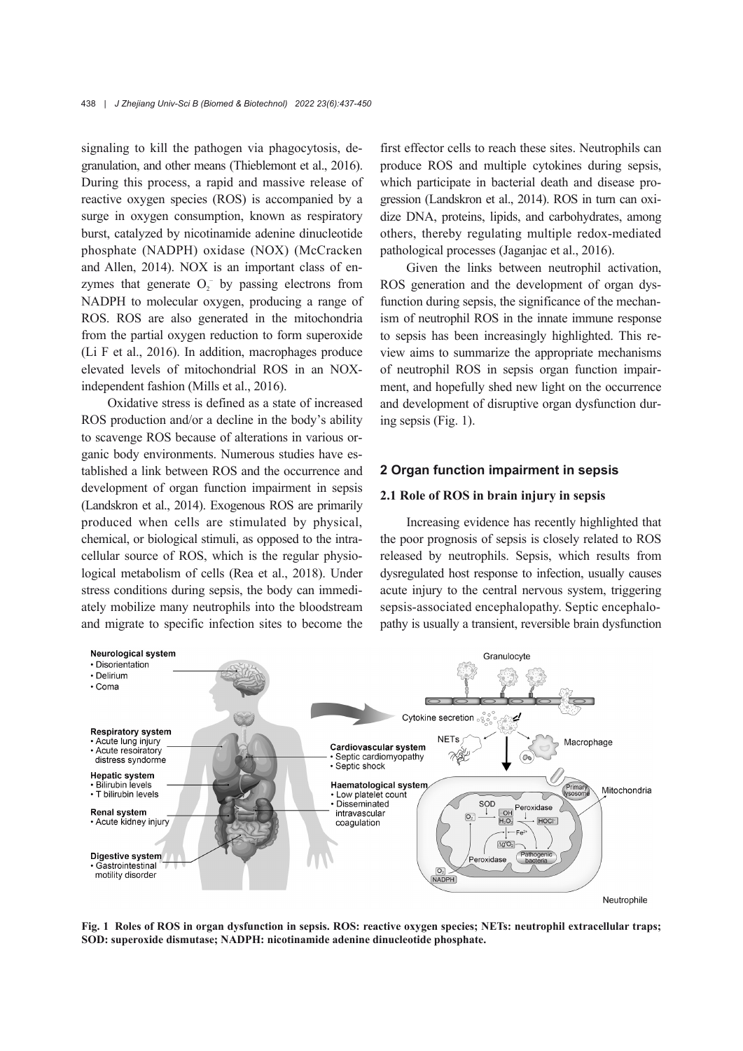signaling to kill the pathogen via phagocytosis, de‐ granulation, and other means (Thieblemont et al., 2016). During this process, a rapid and massive release of reactive oxygen species (ROS) is accompanied by a surge in oxygen consumption, known as respiratory burst, catalyzed by nicotinamide adenine dinucleotide phosphate (NADPH) oxidase (NOX) (McCracken and Allen, 2014). NOX is an important class of enzymes that generate  $O_2^-$  by passing electrons from NADPH to molecular oxygen, producing a range of ROS. ROS are also generated in the mitochondria from the partial oxygen reduction to form superoxide (Li F et al., 2016). In addition, macrophages produce elevated levels of mitochondrial ROS in an NOXindependent fashion (Mills et al., 2016).

Oxidative stress is defined as a state of increased ROS production and/or a decline in the body's ability to scavenge ROS because of alterations in various or‐ ganic body environments. Numerous studies have es‐ tablished a link between ROS and the occurrence and development of organ function impairment in sepsis (Landskron et al., 2014). Exogenous ROS are primarily produced when cells are stimulated by physical, chemical, or biological stimuli, as opposed to the intra‐ cellular source of ROS, which is the regular physio‐ logical metabolism of cells (Rea et al., 2018). Under stress conditions during sepsis, the body can immedi‐ ately mobilize many neutrophils into the bloodstream and migrate to specific infection sites to become the

first effector cells to reach these sites. Neutrophils can produce ROS and multiple cytokines during sepsis, which participate in bacterial death and disease pro‐ gression (Landskron et al., 2014). ROS in turn can oxi‐ dize DNA, proteins, lipids, and carbohydrates, among others, thereby regulating multiple redox-mediated pathological processes (Jaganjac et al., 2016).

Given the links between neutrophil activation, ROS generation and the development of organ dys‐ function during sepsis, the significance of the mechanism of neutrophil ROS in the innate immune response to sepsis has been increasingly highlighted. This re‐ view aims to summarize the appropriate mechanisms of neutrophil ROS in sepsis organ function impair‐ ment, and hopefully shed new light on the occurrence and development of disruptive organ dysfunction dur‐ ing sepsis (Fig. 1).

## **2 Organ function impairment in sepsis**

#### **2.1 Role of ROS in brain injury in sepsis**

Increasing evidence has recently highlighted that the poor prognosis of sepsis is closely related to ROS released by neutrophils. Sepsis, which results from dysregulated host response to infection, usually causes acute injury to the central nervous system, triggering sepsis-associated encephalopathy. Septic encephalopathy is usually a transient, reversible brain dysfunction



**Fig. 1 Roles of ROS in organ dysfunction in sepsis. ROS: reactive oxygen species; NETs: neutrophil extracellular traps; SOD: superoxide dismutase; NADPH: nicotinamide adenine dinucleotide phosphate.**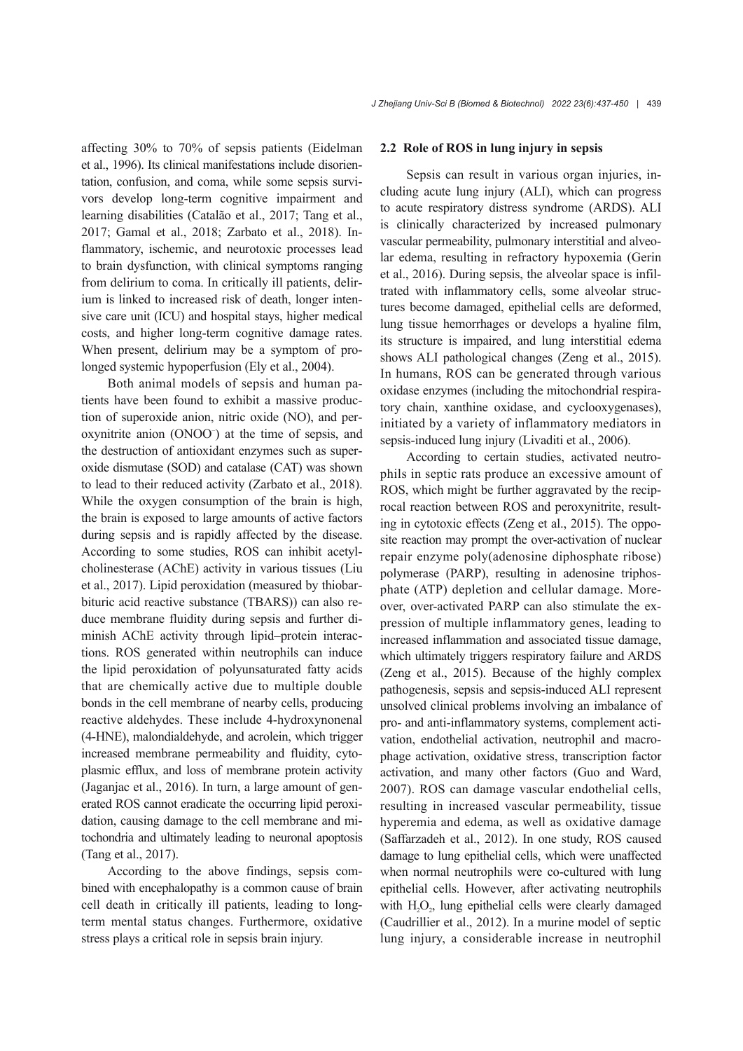affecting 30% to 70% of sepsis patients (Eidelman et al., 1996). Its clinical manifestations include disorien‐ tation, confusion, and coma, while some sepsis survi‐ vors develop long-term cognitive impairment and learning disabilities (Catalão et al., 2017; Tang et al., 2017; Gamal et al., 2018; Zarbato et al., 2018). In‐ flammatory, ischemic, and neurotoxic processes lead to brain dysfunction, with clinical symptoms ranging from delirium to coma. In critically ill patients, delir‐ ium is linked to increased risk of death, longer intensive care unit (ICU) and hospital stays, higher medical costs, and higher long-term cognitive damage rates. When present, delirium may be a symptom of prolonged systemic hypoperfusion (Ely et al., 2004).

Both animal models of sepsis and human pa‐ tients have been found to exhibit a massive produc‐ tion of superoxide anion, nitric oxide (NO), and per‐ oxynitrite anion (ONOO– ) at the time of sepsis, and the destruction of antioxidant enzymes such as super‐ oxide dismutase (SOD) and catalase (CAT) was shown to lead to their reduced activity (Zarbato et al., 2018). While the oxygen consumption of the brain is high, the brain is exposed to large amounts of active factors during sepsis and is rapidly affected by the disease. According to some studies, ROS can inhibit acetyl‐ cholinesterase (AChE) activity in various tissues (Liu et al., 2017). Lipid peroxidation (measured by thiobar‐ bituric acid reactive substance (TBARS)) can also re‐ duce membrane fluidity during sepsis and further di‐ minish AChE activity through lipid–protein interactions. ROS generated within neutrophils can induce the lipid peroxidation of polyunsaturated fatty acids that are chemically active due to multiple double bonds in the cell membrane of nearby cells, producing reactive aldehydes. These include 4-hydroxynonenal (4-HNE), malondialdehyde, and acrolein, which trigger increased membrane permeability and fluidity, cytoplasmic efflux, and loss of membrane protein activity (Jaganjac et al., 2016). In turn, a large amount of gen‐ erated ROS cannot eradicate the occurring lipid peroxidation, causing damage to the cell membrane and mi‐ tochondria and ultimately leading to neuronal apoptosis (Tang et al., 2017).

According to the above findings, sepsis com‐ bined with encephalopathy is a common cause of brain cell death in critically ill patients, leading to longterm mental status changes. Furthermore, oxidative stress plays a critical role in sepsis brain injury.

#### **2.2 Role of ROS in lung injury in sepsis**

Sepsis can result in various organ injuries, in‐ cluding acute lung injury (ALI), which can progress to acute respiratory distress syndrome (ARDS). ALI is clinically characterized by increased pulmonary vascular permeability, pulmonary interstitial and alveo‐ lar edema, resulting in refractory hypoxemia (Gerin et al., 2016). During sepsis, the alveolar space is infil‐ trated with inflammatory cells, some alveolar struc‐ tures become damaged, epithelial cells are deformed, lung tissue hemorrhages or develops a hyaline film, its structure is impaired, and lung interstitial edema shows ALI pathological changes (Zeng et al., 2015). In humans, ROS can be generated through various oxidase enzymes (including the mitochondrial respira‐ tory chain, xanthine oxidase, and cyclooxygenases), initiated by a variety of inflammatory mediators in sepsis-induced lung injury (Livaditi et al., 2006).

According to certain studies, activated neutro‐ phils in septic rats produce an excessive amount of ROS, which might be further aggravated by the recip‐ rocal reaction between ROS and peroxynitrite, result‐ ing in cytotoxic effects (Zeng et al., 2015). The oppo‐ site reaction may prompt the over-activation of nuclear repair enzyme poly(adenosine diphosphate ribose) polymerase (PARP), resulting in adenosine triphos‐ phate (ATP) depletion and cellular damage. More‐ over, over-activated PARP can also stimulate the expression of multiple inflammatory genes, leading to increased inflammation and associated tissue damage, which ultimately triggers respiratory failure and ARDS (Zeng et al., 2015). Because of the highly complex pathogenesis, sepsis and sepsis-induced ALI represent unsolved clinical problems involving an imbalance of pro- and anti-inflammatory systems, complement activation, endothelial activation, neutrophil and macro‐ phage activation, oxidative stress, transcription factor activation, and many other factors (Guo and Ward, 2007). ROS can damage vascular endothelial cells, resulting in increased vascular permeability, tissue hyperemia and edema, as well as oxidative damage (Saffarzadeh et al., 2012). In one study, ROS caused damage to lung epithelial cells, which were unaffected when normal neutrophils were co-cultured with lung epithelial cells. However, after activating neutrophils with  $H_1O_2$ , lung epithelial cells were clearly damaged (Caudrillier et al., 2012). In a murine model of septic lung injury, a considerable increase in neutrophil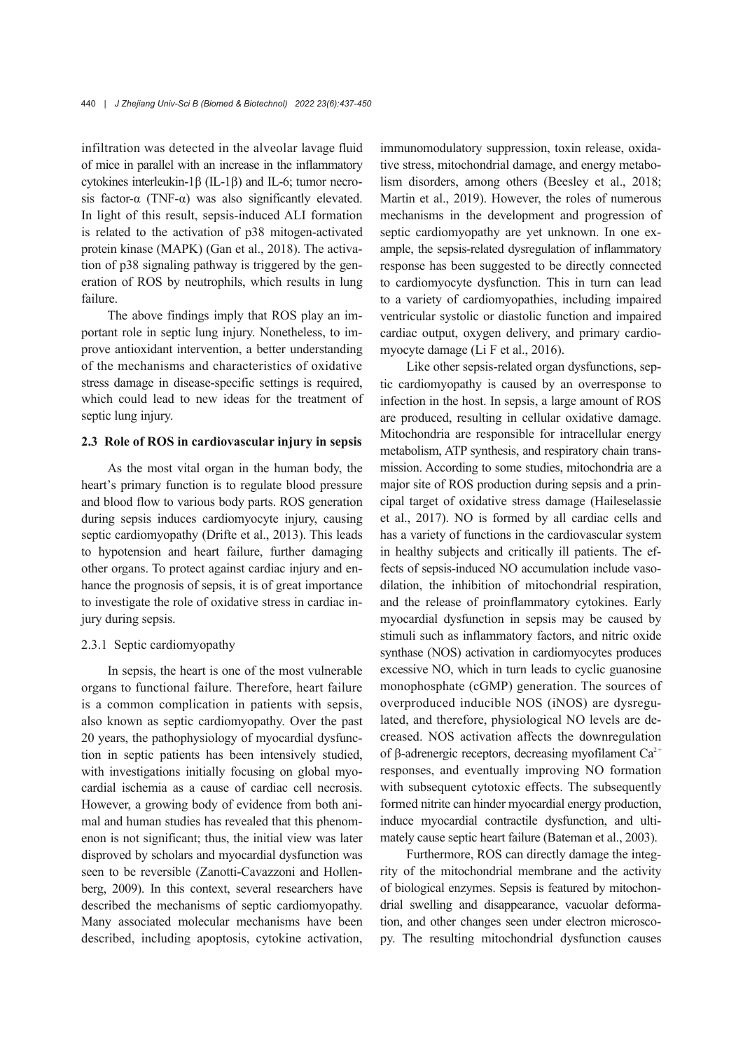infiltration was detected in the alveolar lavage fluid of mice in parallel with an increase in the inflammatory cytokines interleukin-1β (IL-1β) and IL-6; tumor necro‐ sis factor- $\alpha$  (TNF- $\alpha$ ) was also significantly elevated. In light of this result, sepsis-induced ALI formation is related to the activation of p38 mitogen-activated protein kinase (MAPK) (Gan et al., 2018). The activation of p38 signaling pathway is triggered by the generation of ROS by neutrophils, which results in lung failure.

The above findings imply that ROS play an im‐ portant role in septic lung injury. Nonetheless, to im‐ prove antioxidant intervention, a better understanding of the mechanisms and characteristics of oxidative stress damage in disease-specific settings is required, which could lead to new ideas for the treatment of septic lung injury.

#### **2.3 Role of ROS in cardiovascular injury in sepsis**

As the most vital organ in the human body, the heart's primary function is to regulate blood pressure and blood flow to various body parts. ROS generation during sepsis induces cardiomyocyte injury, causing septic cardiomyopathy (Drifte et al., 2013). This leads to hypotension and heart failure, further damaging other organs. To protect against cardiac injury and en‐ hance the prognosis of sepsis, it is of great importance to investigate the role of oxidative stress in cardiac in‐ jury during sepsis.

#### 2.3.1 Septic cardiomyopathy

In sepsis, the heart is one of the most vulnerable organs to functional failure. Therefore, heart failure is a common complication in patients with sepsis, also known as septic cardiomyopathy. Over the past 20 years, the pathophysiology of myocardial dysfunc‐ tion in septic patients has been intensively studied, with investigations initially focusing on global myocardial ischemia as a cause of cardiac cell necrosis. However, a growing body of evidence from both ani‐ mal and human studies has revealed that this phenom‐ enon is not significant; thus, the initial view was later disproved by scholars and myocardial dysfunction was seen to be reversible (Zanotti-Cavazzoni and Hollenberg, 2009). In this context, several researchers have described the mechanisms of septic cardiomyopathy. Many associated molecular mechanisms have been described, including apoptosis, cytokine activation,

immunomodulatory suppression, toxin release, oxidative stress, mitochondrial damage, and energy metabolism disorders, among others (Beesley et al., 2018; Martin et al., 2019). However, the roles of numerous mechanisms in the development and progression of septic cardiomyopathy are yet unknown. In one example, the sepsis-related dysregulation of inflammatory response has been suggested to be directly connected to cardiomyocyte dysfunction. This in turn can lead to a variety of cardiomyopathies, including impaired ventricular systolic or diastolic function and impaired cardiac output, oxygen delivery, and primary cardio‐ myocyte damage (Li F et al., 2016).

Like other sepsis-related organ dysfunctions, septic cardiomyopathy is caused by an overresponse to infection in the host. In sepsis, a large amount of ROS are produced, resulting in cellular oxidative damage. Mitochondria are responsible for intracellular energy metabolism, ATP synthesis, and respiratory chain trans‐ mission. According to some studies, mitochondria are a major site of ROS production during sepsis and a prin‐ cipal target of oxidative stress damage (Haileselassie et al., 2017). NO is formed by all cardiac cells and has a variety of functions in the cardiovascular system in healthy subjects and critically ill patients. The effects of sepsis-induced NO accumulation include vasodilation, the inhibition of mitochondrial respiration, and the release of proinflammatory cytokines. Early myocardial dysfunction in sepsis may be caused by stimuli such as inflammatory factors, and nitric oxide synthase (NOS) activation in cardiomyocytes produces excessive NO, which in turn leads to cyclic guanosine monophosphate (cGMP) generation. The sources of overproduced inducible NOS (iNOS) are dysregu‐ lated, and therefore, physiological NO levels are de‐ creased. NOS activation affects the downregulation of β-adrenergic receptors, decreasing myofilament  $Ca^{2+}$ responses, and eventually improving NO formation with subsequent cytotoxic effects. The subsequently formed nitrite can hinder myocardial energy production, induce myocardial contractile dysfunction, and ultimately cause septic heart failure (Bateman et al., 2003).

Furthermore, ROS can directly damage the integrity of the mitochondrial membrane and the activity of biological enzymes. Sepsis is featured by mitochon‐ drial swelling and disappearance, vacuolar deformation, and other changes seen under electron microscopy. The resulting mitochondrial dysfunction causes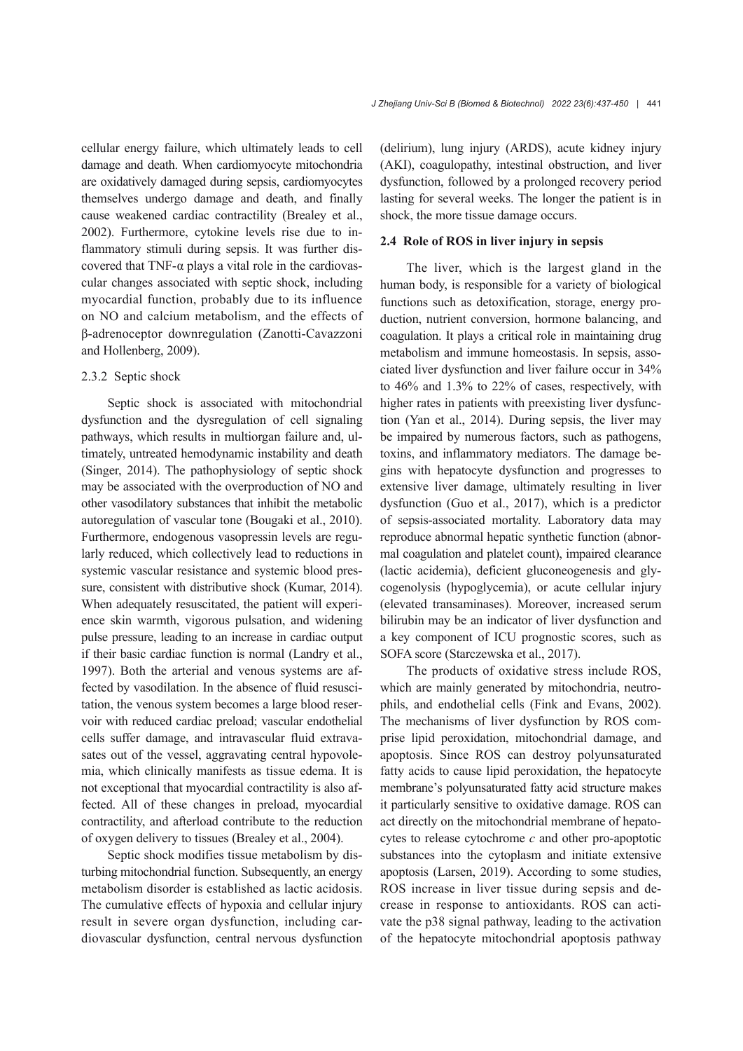cellular energy failure, which ultimately leads to cell damage and death. When cardiomyocyte mitochondria are oxidatively damaged during sepsis, cardiomyocytes themselves undergo damage and death, and finally cause weakened cardiac contractility (Brealey et al., 2002). Furthermore, cytokine levels rise due to in‐ flammatory stimuli during sepsis. It was further dis‐ covered that TNF- $\alpha$  plays a vital role in the cardiovascular changes associated with septic shock, including myocardial function, probably due to its influence on NO and calcium metabolism, and the effects of β-adrenoceptor downregulation (Zanotti-Cavazzoni and Hollenberg, 2009).

## 2.3.2 Septic shock

Septic shock is associated with mitochondrial dysfunction and the dysregulation of cell signaling pathways, which results in multiorgan failure and, ul‐ timately, untreated hemodynamic instability and death (Singer, 2014). The pathophysiology of septic shock may be associated with the overproduction of NO and other vasodilatory substances that inhibit the metabolic autoregulation of vascular tone (Bougaki et al., 2010). Furthermore, endogenous vasopressin levels are regularly reduced, which collectively lead to reductions in systemic vascular resistance and systemic blood pressure, consistent with distributive shock (Kumar, 2014). When adequately resuscitated, the patient will experience skin warmth, vigorous pulsation, and widening pulse pressure, leading to an increase in cardiac output if their basic cardiac function is normal (Landry et al., 1997). Both the arterial and venous systems are af‐ fected by vasodilation. In the absence of fluid resuscitation, the venous system becomes a large blood reser‐ voir with reduced cardiac preload; vascular endothelial cells suffer damage, and intravascular fluid extrava‐ sates out of the vessel, aggravating central hypovole‐ mia, which clinically manifests as tissue edema. It is not exceptional that myocardial contractility is also af‐ fected. All of these changes in preload, myocardial contractility, and afterload contribute to the reduction of oxygen delivery to tissues (Brealey et al., 2004).

Septic shock modifies tissue metabolism by dis‐ turbing mitochondrial function. Subsequently, an energy metabolism disorder is established as lactic acidosis. The cumulative effects of hypoxia and cellular injury result in severe organ dysfunction, including cardiovascular dysfunction, central nervous dysfunction

(delirium), lung injury (ARDS), acute kidney injury (AKI), coagulopathy, intestinal obstruction, and liver dysfunction, followed by a prolonged recovery period lasting for several weeks. The longer the patient is in shock, the more tissue damage occurs.

## **2.4 Role of ROS in liver injury in sepsis**

The liver, which is the largest gland in the human body, is responsible for a variety of biological functions such as detoxification, storage, energy pro‐ duction, nutrient conversion, hormone balancing, and coagulation. It plays a critical role in maintaining drug metabolism and immune homeostasis. In sepsis, associated liver dysfunction and liver failure occur in 34% to 46% and 1.3% to 22% of cases, respectively, with higher rates in patients with preexisting liver dysfunction (Yan et al., 2014). During sepsis, the liver may be impaired by numerous factors, such as pathogens, toxins, and inflammatory mediators. The damage be‐ gins with hepatocyte dysfunction and progresses to extensive liver damage, ultimately resulting in liver dysfunction (Guo et al., 2017), which is a predictor of sepsis-associated mortality. Laboratory data may reproduce abnormal hepatic synthetic function (abnor‐ mal coagulation and platelet count), impaired clearance (lactic acidemia), deficient gluconeogenesis and gly‐ cogenolysis (hypoglycemia), or acute cellular injury (elevated transaminases). Moreover, increased serum bilirubin may be an indicator of liver dysfunction and a key component of ICU prognostic scores, such as SOFA score (Starczewska et al., 2017).

The products of oxidative stress include ROS, which are mainly generated by mitochondria, neutrophils, and endothelial cells (Fink and Evans, 2002). The mechanisms of liver dysfunction by ROS comprise lipid peroxidation, mitochondrial damage, and apoptosis. Since ROS can destroy polyunsaturated fatty acids to cause lipid peroxidation, the hepatocyte membrane's polyunsaturated fatty acid structure makes it particularly sensitive to oxidative damage. ROS can act directly on the mitochondrial membrane of hepato‐ cytes to release cytochrome *c* and other pro-apoptotic substances into the cytoplasm and initiate extensive apoptosis (Larsen, 2019). According to some studies, ROS increase in liver tissue during sepsis and de‐ crease in response to antioxidants. ROS can acti‐ vate the p38 signal pathway, leading to the activation of the hepatocyte mitochondrial apoptosis pathway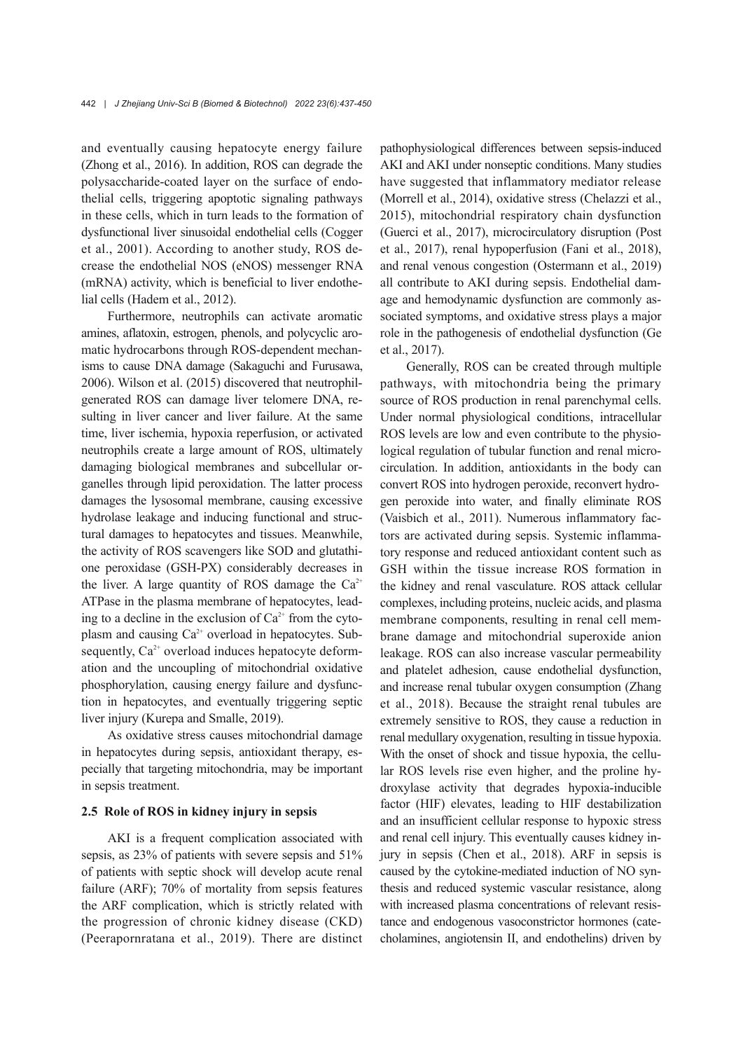and eventually causing hepatocyte energy failure (Zhong et al., 2016). In addition, ROS can degrade the polysaccharide-coated layer on the surface of endo‐ thelial cells, triggering apoptotic signaling pathways in these cells, which in turn leads to the formation of dysfunctional liver sinusoidal endothelial cells (Cogger et al., 2001). According to another study, ROS de‐ crease the endothelial NOS (eNOS) messenger RNA (mRNA) activity, which is beneficial to liver endothe‐ lial cells (Hadem et al., 2012).

Furthermore, neutrophils can activate aromatic amines, aflatoxin, estrogen, phenols, and polycyclic aro‐ matic hydrocarbons through ROS-dependent mechanisms to cause DNA damage (Sakaguchi and Furusawa, 2006). Wilson et al. (2015) discovered that neutrophilgenerated ROS can damage liver telomere DNA, re‐ sulting in liver cancer and liver failure. At the same time, liver ischemia, hypoxia reperfusion, or activated neutrophils create a large amount of ROS, ultimately damaging biological membranes and subcellular or‐ ganelles through lipid peroxidation. The latter process damages the lysosomal membrane, causing excessive hydrolase leakage and inducing functional and struc‐ tural damages to hepatocytes and tissues. Meanwhile, the activity of ROS scavengers like SOD and glutathi‐ one peroxidase (GSH-PX) considerably decreases in the liver. A large quantity of ROS damage the  $Ca^{2+}$ ATPase in the plasma membrane of hepatocytes, lead‐ ing to a decline in the exclusion of  $Ca<sup>2+</sup>$  from the cytoplasm and causing  $Ca^{2+}$  overload in hepatocytes. Subsequently,  $Ca^{2+}$  overload induces hepatocyte deformation and the uncoupling of mitochondrial oxidative phosphorylation, causing energy failure and dysfunc‐ tion in hepatocytes, and eventually triggering septic liver injury (Kurepa and Smalle, 2019).

As oxidative stress causes mitochondrial damage in hepatocytes during sepsis, antioxidant therapy, especially that targeting mitochondria, may be important in sepsis treatment.

#### **2.5 Role of ROS in kidney injury in sepsis**

AKI is a frequent complication associated with sepsis, as 23% of patients with severe sepsis and 51% of patients with septic shock will develop acute renal failure (ARF); 70% of mortality from sepsis features the ARF complication, which is strictly related with the progression of chronic kidney disease (CKD) (Peerapornratana et al., 2019). There are distinct

pathophysiological differences between sepsis-induced AKI and AKI under nonseptic conditions. Many studies have suggested that inflammatory mediator release (Morrell et al., 2014), oxidative stress (Chelazzi et al., 2015), mitochondrial respiratory chain dysfunction (Guerci et al., 2017), microcirculatory disruption (Post et al., 2017), renal hypoperfusion (Fani et al., 2018), and renal venous congestion (Ostermann et al., 2019) all contribute to AKI during sepsis. Endothelial dam‐ age and hemodynamic dysfunction are commonly associated symptoms, and oxidative stress plays a major role in the pathogenesis of endothelial dysfunction (Ge et al., 2017).

Generally, ROS can be created through multiple pathways, with mitochondria being the primary source of ROS production in renal parenchymal cells. Under normal physiological conditions, intracellular ROS levels are low and even contribute to the physio‐ logical regulation of tubular function and renal micro‐ circulation. In addition, antioxidants in the body can convert ROS into hydrogen peroxide, reconvert hydrogen peroxide into water, and finally eliminate ROS (Vaisbich et al., 2011). Numerous inflammatory fac‐ tors are activated during sepsis. Systemic inflamma‐ tory response and reduced antioxidant content such as GSH within the tissue increase ROS formation in the kidney and renal vasculature. ROS attack cellular complexes, including proteins, nucleic acids, and plasma membrane components, resulting in renal cell membrane damage and mitochondrial superoxide anion leakage. ROS can also increase vascular permeability and platelet adhesion, cause endothelial dysfunction, and increase renal tubular oxygen consumption (Zhang et al., 2018). Because the straight renal tubules are extremely sensitive to ROS, they cause a reduction in renal medullary oxygenation, resulting in tissue hypoxia. With the onset of shock and tissue hypoxia, the cellular ROS levels rise even higher, and the proline hy‐ droxylase activity that degrades hypoxia-inducible factor (HIF) elevates, leading to HIF destabilization and an insufficient cellular response to hypoxic stress and renal cell injury. This eventually causes kidney in‐ jury in sepsis (Chen et al., 2018). ARF in sepsis is caused by the cytokine-mediated induction of NO syn‐ thesis and reduced systemic vascular resistance, along with increased plasma concentrations of relevant resistance and endogenous vasoconstrictor hormones (catecholamines, angiotensin II, and endothelins) driven by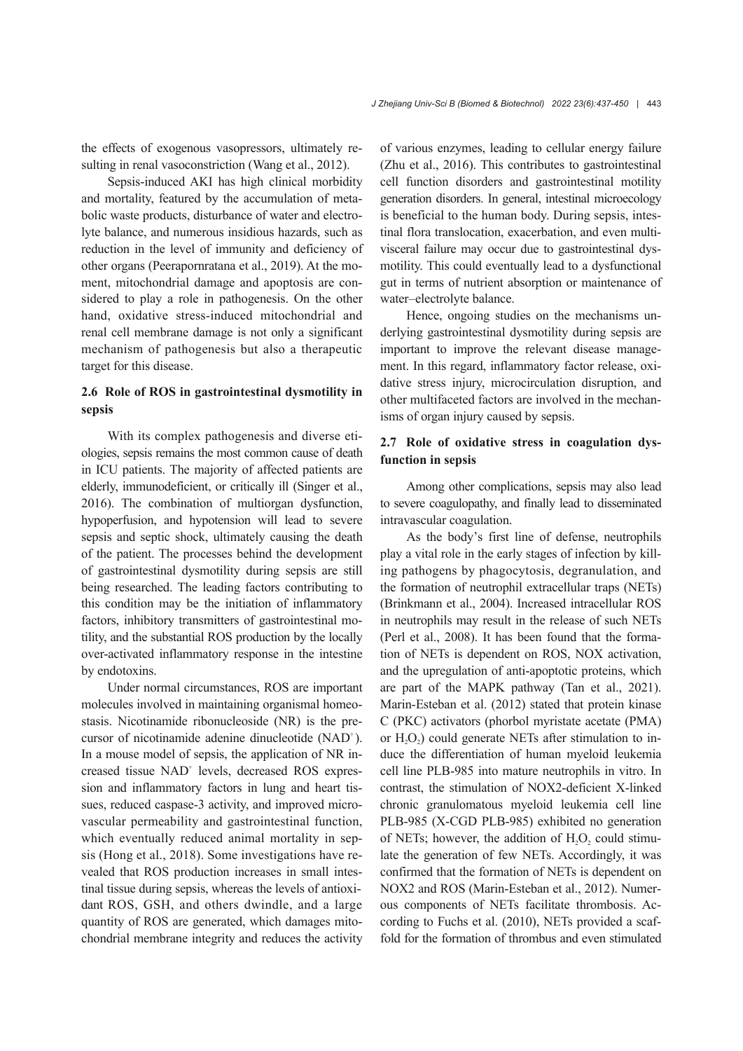the effects of exogenous vasopressors, ultimately re‐ sulting in renal vasoconstriction (Wang et al., 2012).

Sepsis-induced AKI has high clinical morbidity and mortality, featured by the accumulation of metabolic waste products, disturbance of water and electro‐ lyte balance, and numerous insidious hazards, such as reduction in the level of immunity and deficiency of other organs (Peerapornratana et al., 2019). At the mo‐ ment, mitochondrial damage and apoptosis are considered to play a role in pathogenesis. On the other hand, oxidative stress-induced mitochondrial and renal cell membrane damage is not only a significant mechanism of pathogenesis but also a therapeutic target for this disease.

## **2.6 Role of ROS in gastrointestinal dysmotility in sepsis**

With its complex pathogenesis and diverse etiologies, sepsis remains the most common cause of death in ICU patients. The majority of affected patients are elderly, immunodeficient, or critically ill (Singer et al., 2016). The combination of multiorgan dysfunction, hypoperfusion, and hypotension will lead to severe sepsis and septic shock, ultimately causing the death of the patient. The processes behind the development of gastrointestinal dysmotility during sepsis are still being researched. The leading factors contributing to this condition may be the initiation of inflammatory factors, inhibitory transmitters of gastrointestinal mo‐ tility, and the substantial ROS production by the locally over-activated inflammatory response in the intestine by endotoxins.

Under normal circumstances, ROS are important molecules involved in maintaining organismal homeo‐ stasis. Nicotinamide ribonucleoside (NR) is the pre‐ cursor of nicotinamide adenine dinucleotide (NAD<sup>+</sup>). In a mouse model of sepsis, the application of NR in‐ creased tissue NAD<sup>+</sup> levels, decreased ROS expression and inflammatory factors in lung and heart tis‐ sues, reduced caspase-3 activity, and improved micro‐ vascular permeability and gastrointestinal function, which eventually reduced animal mortality in sepsis (Hong et al., 2018). Some investigations have re‐ vealed that ROS production increases in small intes‐ tinal tissue during sepsis, whereas the levels of antioxidant ROS, GSH, and others dwindle, and a large quantity of ROS are generated, which damages mito‐ chondrial membrane integrity and reduces the activity

of various enzymes, leading to cellular energy failure (Zhu et al., 2016). This contributes to gastrointestinal cell function disorders and gastrointestinal motility generation disorders. In general, intestinal microecology is beneficial to the human body. During sepsis, intestinal flora translocation, exacerbation, and even multivisceral failure may occur due to gastrointestinal dys‐ motility. This could eventually lead to a dysfunctional gut in terms of nutrient absorption or maintenance of water–electrolyte balance.

Hence, ongoing studies on the mechanisms underlying gastrointestinal dysmotility during sepsis are important to improve the relevant disease management. In this regard, inflammatory factor release, oxidative stress injury, microcirculation disruption, and other multifaceted factors are involved in the mechanisms of organ injury caused by sepsis.

## **2.7 Role of oxidative stress in coagulation dys‐ function in sepsis**

Among other complications, sepsis may also lead to severe coagulopathy, and finally lead to disseminated intravascular coagulation.

As the body's first line of defense, neutrophils play a vital role in the early stages of infection by kill‐ ing pathogens by phagocytosis, degranulation, and the formation of neutrophil extracellular traps (NETs) (Brinkmann et al., 2004). Increased intracellular ROS in neutrophils may result in the release of such NETs (Perl et al., 2008). It has been found that the forma‐ tion of NETs is dependent on ROS, NOX activation, and the upregulation of anti-apoptotic proteins, which are part of the MAPK pathway (Tan et al., 2021). Marin-Esteban et al. (2012) stated that protein kinase C (PKC) activators (phorbol myristate acetate (PMA) or  $H<sub>2</sub>O<sub>2</sub>$ ) could generate NETs after stimulation to induce the differentiation of human myeloid leukemia cell line PLB-985 into mature neutrophils in vitro. In contrast, the stimulation of NOX2-deficient X-linked chronic granulomatous myeloid leukemia cell line PLB-985 (X-CGD PLB-985) exhibited no generation of NETs; however, the addition of  $H_2O_2$  could stimulate the generation of few NETs. Accordingly, it was confirmed that the formation of NETs is dependent on NOX2 and ROS (Marin-Esteban et al., 2012). Numerous components of NETs facilitate thrombosis. Ac‐ cording to Fuchs et al. (2010), NETs provided a scaf‐ fold for the formation of thrombus and even stimulated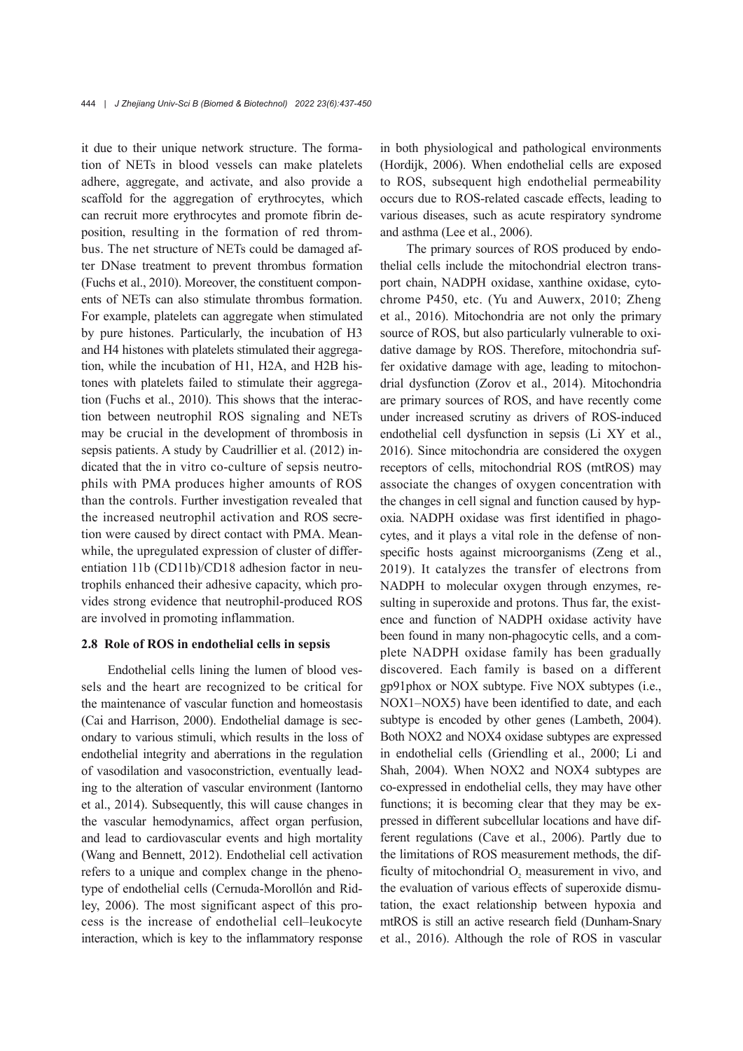it due to their unique network structure. The formation of NETs in blood vessels can make platelets adhere, aggregate, and activate, and also provide a scaffold for the aggregation of erythrocytes, which can recruit more erythrocytes and promote fibrin de‐ position, resulting in the formation of red throm‐ bus. The net structure of NETs could be damaged af‐ ter DNase treatment to prevent thrombus formation (Fuchs et al., 2010). Moreover, the constituent components of NETs can also stimulate thrombus formation. For example, platelets can aggregate when stimulated by pure histones. Particularly, the incubation of H3 and H4 histones with platelets stimulated their aggregation, while the incubation of H1, H2A, and H2B his‐ tones with platelets failed to stimulate their aggregation (Fuchs et al., 2010). This shows that the interac‐ tion between neutrophil ROS signaling and NETs may be crucial in the development of thrombosis in sepsis patients. A study by Caudrillier et al. (2012) indicated that the in vitro co-culture of sepsis neutro‐ phils with PMA produces higher amounts of ROS than the controls. Further investigation revealed that the increased neutrophil activation and ROS secretion were caused by direct contact with PMA. Mean‐ while, the upregulated expression of cluster of differentiation 11b (CD11b)/CD18 adhesion factor in neutrophils enhanced their adhesive capacity, which pro‐ vides strong evidence that neutrophil-produced ROS are involved in promoting inflammation.

#### **2.8 Role of ROS in endothelial cells in sepsis**

Endothelial cells lining the lumen of blood ves‐ sels and the heart are recognized to be critical for the maintenance of vascular function and homeostasis (Cai and Harrison, 2000). Endothelial damage is sec‐ ondary to various stimuli, which results in the loss of endothelial integrity and aberrations in the regulation of vasodilation and vasoconstriction, eventually lead‐ ing to the alteration of vascular environment (Iantorno et al., 2014). Subsequently, this will cause changes in the vascular hemodynamics, affect organ perfusion, and lead to cardiovascular events and high mortality (Wang and Bennett, 2012). Endothelial cell activation refers to a unique and complex change in the phenotype of endothelial cells (Cernuda-Morollón and Rid‐ ley, 2006). The most significant aspect of this pro‐ cess is the increase of endothelial cell–leukocyte interaction, which is key to the inflammatory response in both physiological and pathological environments (Hordijk, 2006). When endothelial cells are exposed to ROS, subsequent high endothelial permeability occurs due to ROS-related cascade effects, leading to various diseases, such as acute respiratory syndrome and asthma (Lee et al., 2006).

The primary sources of ROS produced by endothelial cells include the mitochondrial electron trans‐ port chain, NADPH oxidase, xanthine oxidase, cytochrome P450, etc. (Yu and Auwerx, 2010; Zheng et al., 2016). Mitochondria are not only the primary source of ROS, but also particularly vulnerable to oxidative damage by ROS. Therefore, mitochondria suffer oxidative damage with age, leading to mitochondrial dysfunction (Zorov et al., 2014). Mitochondria are primary sources of ROS, and have recently come under increased scrutiny as drivers of ROS-induced endothelial cell dysfunction in sepsis (Li XY et al., 2016). Since mitochondria are considered the oxygen receptors of cells, mitochondrial ROS (mtROS) may associate the changes of oxygen concentration with the changes in cell signal and function caused by hypoxia. NADPH oxidase was first identified in phago‐ cytes, and it plays a vital role in the defense of non‐ specific hosts against microorganisms (Zeng et al., 2019). It catalyzes the transfer of electrons from NADPH to molecular oxygen through enzymes, re‐ sulting in superoxide and protons. Thus far, the existence and function of NADPH oxidase activity have been found in many non-phagocytic cells, and a complete NADPH oxidase family has been gradually discovered. Each family is based on a different gp91phox or NOX subtype. Five NOX subtypes (i.e., NOX1–NOX5) have been identified to date, and each subtype is encoded by other genes (Lambeth, 2004). Both NOX2 and NOX4 oxidase subtypes are expressed in endothelial cells (Griendling et al., 2000; Li and Shah, 2004). When NOX2 and NOX4 subtypes are co-expressed in endothelial cells, they may have other functions; it is becoming clear that they may be expressed in different subcellular locations and have dif‐ ferent regulations (Cave et al., 2006). Partly due to the limitations of ROS measurement methods, the dif‐ ficulty of mitochondrial O<sub>2</sub> measurement in vivo, and the evaluation of various effects of superoxide dismu‐ tation, the exact relationship between hypoxia and mtROS is still an active research field (Dunham-Snary et al., 2016). Although the role of ROS in vascular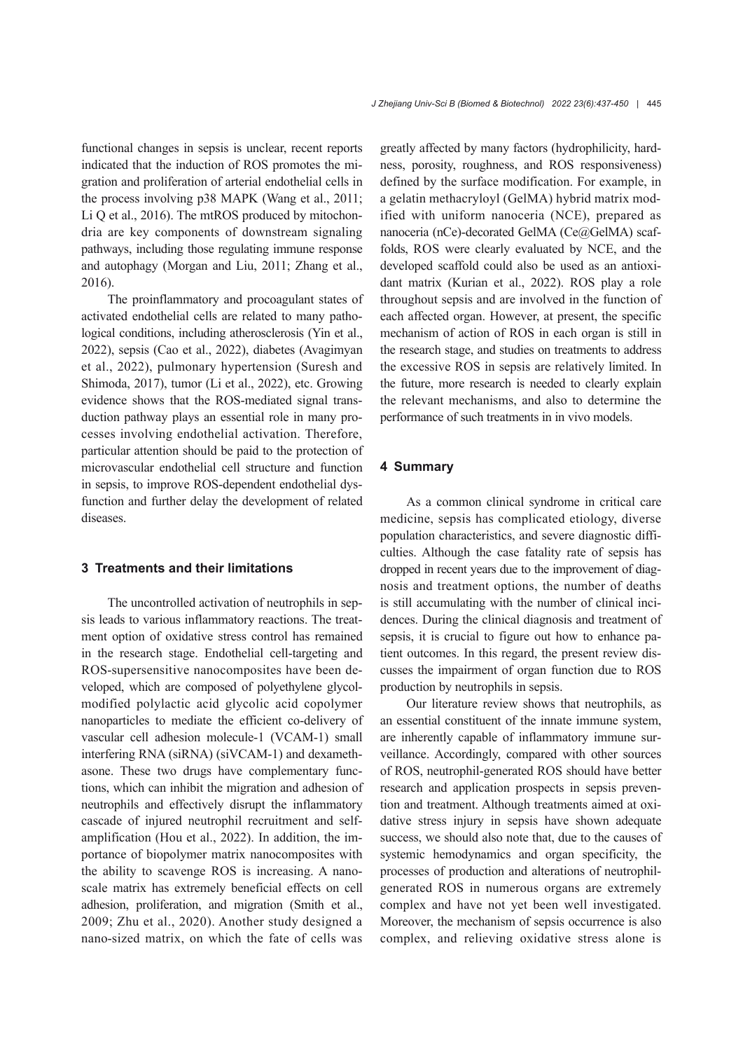functional changes in sepsis is unclear, recent reports indicated that the induction of ROS promotes the mi‐ gration and proliferation of arterial endothelial cells in the process involving p38 MAPK (Wang et al., 2011; Li Q et al., 2016). The mtROS produced by mitochondria are key components of downstream signaling pathways, including those regulating immune response and autophagy (Morgan and Liu, 2011; Zhang et al., 2016).

The proinflammatory and procoagulant states of activated endothelial cells are related to many patho‐ logical conditions, including atherosclerosis (Yin et al., 2022), sepsis (Cao et al., 2022), diabetes (Avagimyan et al., 2022), pulmonary hypertension (Suresh and Shimoda, 2017), tumor (Li et al., 2022), etc. Growing evidence shows that the ROS-mediated signal trans‐ duction pathway plays an essential role in many pro‐ cesses involving endothelial activation. Therefore, particular attention should be paid to the protection of microvascular endothelial cell structure and function in sepsis, to improve ROS-dependent endothelial dys‐ function and further delay the development of related diseases.

## **3 Treatments and their limitations**

The uncontrolled activation of neutrophils in sepsis leads to various inflammatory reactions. The treat‐ ment option of oxidative stress control has remained in the research stage. Endothelial cell-targeting and ROS-supersensitive nanocomposites have been de‐ veloped, which are composed of polyethylene glycolmodified polylactic acid glycolic acid copolymer nanoparticles to mediate the efficient co-delivery of vascular cell adhesion molecule-1 (VCAM-1) small interfering RNA (siRNA) (siVCAM-1) and dexameth‐ asone. These two drugs have complementary func‐ tions, which can inhibit the migration and adhesion of neutrophils and effectively disrupt the inflammatory cascade of injured neutrophil recruitment and selfamplification (Hou et al., 2022). In addition, the im‐ portance of biopolymer matrix nanocomposites with the ability to scavenge ROS is increasing. A nanoscale matrix has extremely beneficial effects on cell adhesion, proliferation, and migration (Smith et al., 2009; Zhu et al., 2020). Another study designed a nano-sized matrix, on which the fate of cells was

greatly affected by many factors (hydrophilicity, hard‐ ness, porosity, roughness, and ROS responsiveness) defined by the surface modification. For example, in a gelatin methacryloyl (GelMA) hybrid matrix modified with uniform nanoceria (NCE), prepared as nanoceria (nCe)-decorated GelMA (Ce@GelMA) scaffolds, ROS were clearly evaluated by NCE, and the developed scaffold could also be used as an antioxi‐ dant matrix (Kurian et al., 2022). ROS play a role throughout sepsis and are involved in the function of each affected organ. However, at present, the specific mechanism of action of ROS in each organ is still in the research stage, and studies on treatments to address the excessive ROS in sepsis are relatively limited. In the future, more research is needed to clearly explain the relevant mechanisms, and also to determine the performance of such treatments in in vivo models.

#### **4 Summary**

As a common clinical syndrome in critical care medicine, sepsis has complicated etiology, diverse population characteristics, and severe diagnostic diffi‐ culties. Although the case fatality rate of sepsis has dropped in recent years due to the improvement of diagnosis and treatment options, the number of deaths is still accumulating with the number of clinical incidences. During the clinical diagnosis and treatment of sepsis, it is crucial to figure out how to enhance patient outcomes. In this regard, the present review dis‐ cusses the impairment of organ function due to ROS production by neutrophils in sepsis.

Our literature review shows that neutrophils, as an essential constituent of the innate immune system, are inherently capable of inflammatory immune sur‐ veillance. Accordingly, compared with other sources of ROS, neutrophil-generated ROS should have better research and application prospects in sepsis prevention and treatment. Although treatments aimed at oxidative stress injury in sepsis have shown adequate success, we should also note that, due to the causes of systemic hemodynamics and organ specificity, the processes of production and alterations of neutrophilgenerated ROS in numerous organs are extremely complex and have not yet been well investigated. Moreover, the mechanism of sepsis occurrence is also complex, and relieving oxidative stress alone is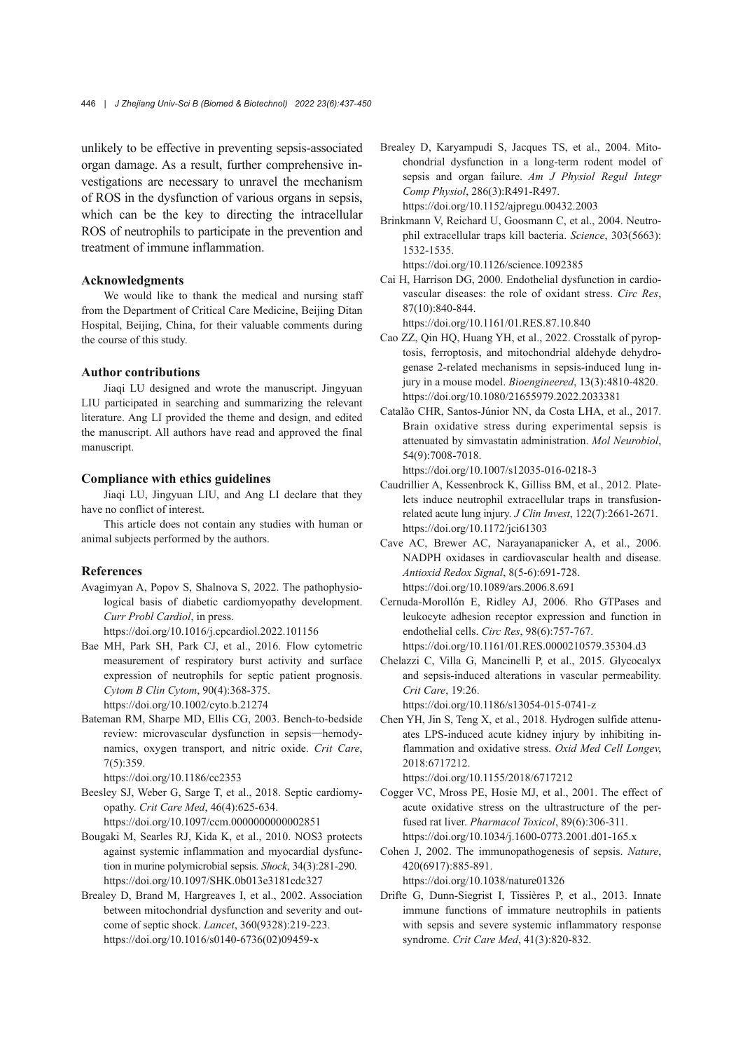unlikely to be effective in preventing sepsis-associated organ damage. As a result, further comprehensive in‐ vestigations are necessary to unravel the mechanism of ROS in the dysfunction of various organs in sepsis, which can be the key to directing the intracellular ROS of neutrophils to participate in the prevention and treatment of immune inflammation.

### **Acknowledgments**

We would like to thank the medical and nursing staff from the Department of Critical Care Medicine, Beijing Ditan Hospital, Beijing, China, for their valuable comments during the course of this study.

#### **Author contributions**

Jiaqi LU designed and wrote the manuscript. Jingyuan LIU participated in searching and summarizing the relevant literature. Ang LI provided the theme and design, and edited the manuscript. All authors have read and approved the final manuscript.

#### **Compliance with ethics guidelines**

Jiaqi LU, Jingyuan LIU, and Ang LI declare that they have no conflict of interest.

This article does not contain any studies with human or animal subjects performed by the authors.

## **References**

- Avagimyan A, Popov S, Shalnova S, 2022. The pathophysio‐ logical basis of diabetic cardiomyopathy development. *Curr Probl Cardiol*, in press. https://doi.org/10.1016/j.cpcardiol.2022.101156
- Bae MH, Park SH, Park CJ, et al., 2016. Flow cytometric
- measurement of respiratory burst activity and surface expression of neutrophils for septic patient prognosis. *Cytom B Clin Cytom*, 90(4):368-375.

https://doi.org/10.1002/cyto.b.21274

Bateman RM, Sharpe MD, Ellis CG, 2003. Bench-to-bedside review: microvascular dysfunction in sepsis—hemody‐ namics, oxygen transport, and nitric oxide. *Crit Care*, 7(5):359.

https://doi.org/10.1186/cc2353

- Beesley SJ, Weber G, Sarge T, et al., 2018. Septic cardiomy‐ opathy. *Crit Care Med*, 46(4):625-634. https://doi.org/10.1097/ccm.0000000000002851
- Bougaki M, Searles RJ, Kida K, et al., 2010. NOS3 protects against systemic inflammation and myocardial dysfunc‐ tion in murine polymicrobial sepsis. *Shock*, 34(3):281-290. https://doi.org/10.1097/SHK.0b013e3181cdc327
- Brealey D, Brand M, Hargreaves I, et al., 2002. Association between mitochondrial dysfunction and severity and out‐ come of septic shock. *Lancet*, 360(9328):219-223. https://doi.org/10.1016/s0140-6736(02)09459-x

Brealey D, Karyampudi S, Jacques TS, et al., 2004. Mitochondrial dysfunction in a long-term rodent model of sepsis and organ failure. *Am J Physiol Regul Integr Comp Physiol*, 286(3):R491-R497. https://doi.org/10.1152/ajpregu.00432.2003

Brinkmann V, Reichard U, Goosmann C, et al., 2004. Neutro‐ phil extracellular traps kill bacteria. *Science*, 303(5663): 1532-1535.

https://doi.org/10.1126/science.1092385

Cai H, Harrison DG, 2000. Endothelial dysfunction in cardio‐ vascular diseases: the role of oxidant stress. *Circ Res*, 87(10):840-844.

https://doi.org/10.1161/01.RES.87.10.840

- Cao ZZ, Qin HQ, Huang YH, et al., 2022. Crosstalk of pyrop‐ tosis, ferroptosis, and mitochondrial aldehyde dehydro‐ genase 2-related mechanisms in sepsis-induced lung in‐ jury in a mouse model. *Bioengineered*, 13(3):4810-4820. https://doi.org/10.1080/21655979.2022.2033381
- Catalão CHR, Santos-Júnior NN, da Costa LHA, et al., 2017. Brain oxidative stress during experimental sepsis is attenuated by simvastatin administration. *Mol Neurobiol*, 54(9):7008-7018.

https://doi.org/10.1007/s12035-016-0218-3

- Caudrillier A, Kessenbrock K, Gilliss BM, et al., 2012. Plate‐ lets induce neutrophil extracellular traps in transfusionrelated acute lung injury. *J Clin Invest*, 122(7):2661-2671. https://doi.org/10.1172/jci61303
- Cave AC, Brewer AC, Narayanapanicker A, et al., 2006. NADPH oxidases in cardiovascular health and disease. *Antioxid Redox Signal*, 8(5-6):691-728. https://doi.org/10.1089/ars.2006.8.691
- Cernuda-Morollón E, Ridley AJ, 2006. Rho GTPases and leukocyte adhesion receptor expression and function in endothelial cells. *Circ Res*, 98(6):757-767. https://doi.org/10.1161/01.RES.0000210579.35304.d3
- Chelazzi C, Villa G, Mancinelli P, et al., 2015. Glycocalyx and sepsis-induced alterations in vascular permeability. *Crit Care*, 19:26.

https://doi.org/10.1186/s13054-015-0741-z

Chen YH, Jin S, Teng X, et al., 2018. Hydrogen sulfide attenu‐ ates LPS-induced acute kidney injury by inhibiting in‐ flammation and oxidative stress. *Oxid Med Cell Longev*, 2018:6717212.

https://doi.org/10.1155/2018/6717212

- Cogger VC, Mross PE, Hosie MJ, et al., 2001. The effect of acute oxidative stress on the ultrastructure of the per‐ fused rat liver. *Pharmacol Toxicol*, 89(6):306-311. https://doi.org/10.1034/j.1600-0773.2001.d01-165.x
- Cohen J, 2002. The immunopathogenesis of sepsis. *Nature*, 420(6917):885-891. https://doi.org/10.1038/nature01326

Drifte G, Dunn-Siegrist I, Tissières P, et al., 2013. Innate immune functions of immature neutrophils in patients with sepsis and severe systemic inflammatory response syndrome. *Crit Care Med*, 41(3):820-832.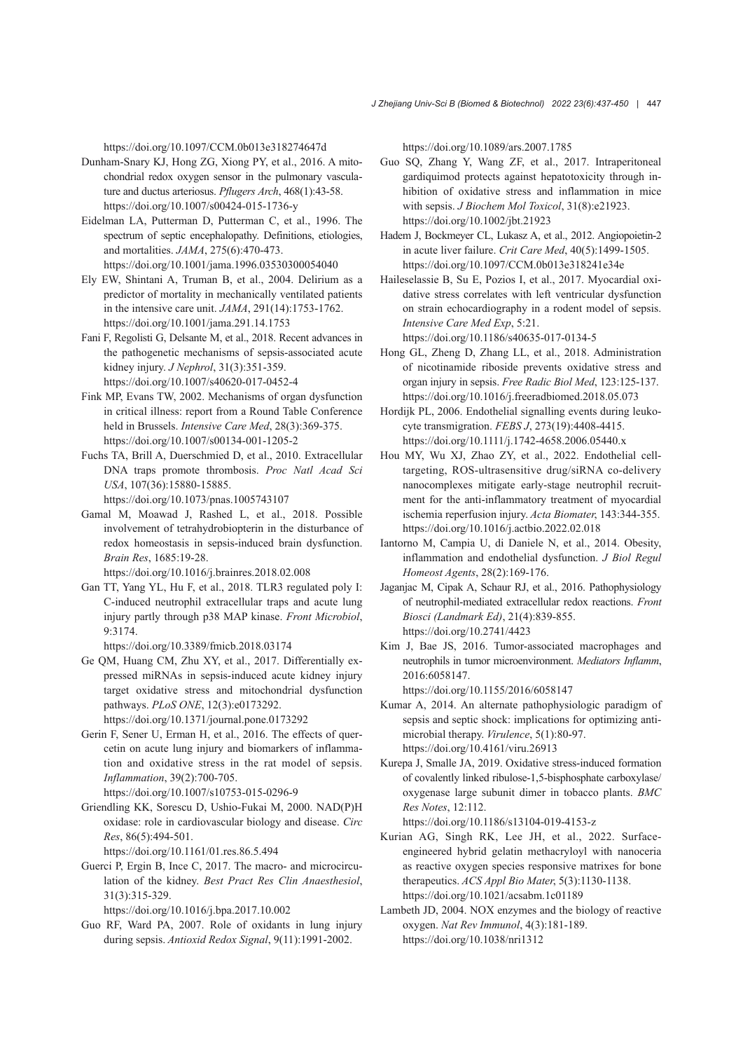https://doi.org/10.1097/CCM.0b013e318274647d

- Dunham-Snary KJ, Hong ZG, Xiong PY, et al., 2016. A mito‐ chondrial redox oxygen sensor in the pulmonary vascula‐ ture and ductus arteriosus. *Pflugers Arch*, 468(1):43-58. https://doi.org/10.1007/s00424-015-1736-y
- Eidelman LA, Putterman D, Putterman C, et al., 1996. The spectrum of septic encephalopathy. Definitions, etiologies, and mortalities. *JAMA*, 275(6):470-473. https://doi.org/10.1001/jama.1996.03530300054040
- Ely EW, Shintani A, Truman B, et al., 2004. Delirium as a predictor of mortality in mechanically ventilated patients in the intensive care unit. *JAMA*, 291(14):1753-1762. https://doi.org/10.1001/jama.291.14.1753
- Fani F, Regolisti G, Delsante M, et al., 2018. Recent advances in the pathogenetic mechanisms of sepsis-associated acute kidney injury. *J Nephrol*, 31(3):351-359. https://doi.org/10.1007/s40620-017-0452-4
- Fink MP, Evans TW, 2002. Mechanisms of organ dysfunction in critical illness: report from a Round Table Conference held in Brussels. *Intensive Care Med*, 28(3):369-375. https://doi.org/10.1007/s00134-001-1205-2
- Fuchs TA, Brill A, Duerschmied D, et al., 2010. Extracellular DNA traps promote thrombosis. *Proc Natl Acad Sci USA*, 107(36):15880-15885.
	- https://doi.org/10.1073/pnas.1005743107
- Gamal M, Moawad J, Rashed L, et al., 2018. Possible involvement of tetrahydrobiopterin in the disturbance of redox homeostasis in sepsis-induced brain dysfunction. *Brain Res*, 1685:19-28.

https://doi.org/10.1016/j.brainres.2018.02.008

Gan TT, Yang YL, Hu F, et al., 2018. TLR3 regulated poly I: C-induced neutrophil extracellular traps and acute lung injury partly through p38 MAP kinase. *Front Microbiol*, 9:3174.

https://doi.org/10.3389/fmicb.2018.03174

- Ge QM, Huang CM, Zhu XY, et al., 2017. Differentially ex‐ pressed miRNAs in sepsis-induced acute kidney injury target oxidative stress and mitochondrial dysfunction pathways. *PLoS ONE*, 12(3):e0173292. https://doi.org/10.1371/journal.pone.0173292
- Gerin F, Sener U, Erman H, et al., 2016. The effects of quercetin on acute lung injury and biomarkers of inflamma‐ tion and oxidative stress in the rat model of sepsis. *Inflammation*, 39(2):700-705.

https://doi.org/10.1007/s10753-015-0296-9

Griendling KK, Sorescu D, Ushio-Fukai M, 2000. NAD(P)H oxidase: role in cardiovascular biology and disease. *Circ Res*, 86(5):494-501.

https://doi.org/10.1161/01.res.86.5.494

Guerci P, Ergin B, Ince C, 2017. The macro- and microcirculation of the kidney. *Best Pract Res Clin Anaesthesiol*, 31(3):315-329.

https://doi.org/10.1016/j.bpa.2017.10.002

Guo RF, Ward PA, 2007. Role of oxidants in lung injury during sepsis. *Antioxid Redox Signal*, 9(11):1991-2002.

https://doi.org/10.1089/ars.2007.1785

- Guo SQ, Zhang Y, Wang ZF, et al., 2017. Intraperitoneal gardiquimod protects against hepatotoxicity through in‐ hibition of oxidative stress and inflammation in mice with sepsis. *J Biochem Mol Toxicol*, 31(8):e21923. https://doi.org/10.1002/jbt.21923
- Hadem J, Bockmeyer CL, Lukasz A, et al., 2012. Angiopoietin-2 in acute liver failure. *Crit Care Med*, 40(5):1499-1505. https://doi.org/10.1097/CCM.0b013e318241e34e
- Haileselassie B, Su E, Pozios I, et al., 2017. Myocardial oxi‐ dative stress correlates with left ventricular dysfunction on strain echocardiography in a rodent model of sepsis. *Intensive Care Med Exp*, 5:21. https://doi.org/10.1186/s40635-017-0134-5
- Hong GL, Zheng D, Zhang LL, et al., 2018. Administration of nicotinamide riboside prevents oxidative stress and organ injury in sepsis. *Free Radic Biol Med*, 123:125-137. https://doi.org/10.1016/j.freeradbiomed.2018.05.073
- Hordijk PL, 2006. Endothelial signalling events during leuko‐ cyte transmigration. *FEBS J*, 273(19):4408-4415. https://doi.org/10.1111/j.1742-4658.2006.05440.x
- Hou MY, Wu XJ, Zhao ZY, et al., 2022. Endothelial celltargeting, ROS-ultrasensitive drug/siRNA co-delivery nanocomplexes mitigate early-stage neutrophil recruit‐ ment for the anti-inflammatory treatment of myocardial ischemia reperfusion injury. *Acta Biomater*, 143:344-355. https://doi.org/10.1016/j.actbio.2022.02.018
- Iantorno M, Campia U, di Daniele N, et al., 2014. Obesity, inflammation and endothelial dysfunction. *J Biol Regul Homeost Agents*, 28(2):169-176.
- Jaganjac M, Cipak A, Schaur RJ, et al., 2016. Pathophysiology of neutrophil-mediated extracellular redox reactions. *Front Biosci (Landmark Ed)*, 21(4):839-855. https://doi.org/10.2741/4423
- Kim J, Bae JS, 2016. Tumor-associated macrophages and neutrophils in tumor microenvironment. *Mediators Inflamm*, 2016:6058147.

https://doi.org/10.1155/2016/6058147

- Kumar A, 2014. An alternate pathophysiologic paradigm of sepsis and septic shock: implications for optimizing antimicrobial therapy. *Virulence*, 5(1):80-97. https://doi.org/10.4161/viru.26913
- Kurepa J, Smalle JA, 2019. Oxidative stress-induced formation of covalently linked ribulose-1,5-bisphosphate carboxylase/ oxygenase large subunit dimer in tobacco plants. *BMC Res Notes*, 12:112.

https://doi.org/10.1186/s13104-019-4153-z

- Kurian AG, Singh RK, Lee JH, et al., 2022. Surfaceengineered hybrid gelatin methacryloyl with nanoceria as reactive oxygen species responsive matrixes for bone therapeutics. *ACS Appl Bio Mater*, 5(3):1130-1138. https://doi.org/10.1021/acsabm.1c01189
- Lambeth JD, 2004. NOX enzymes and the biology of reactive oxygen. *Nat Rev Immunol*, 4(3):181-189. https://doi.org/10.1038/nri1312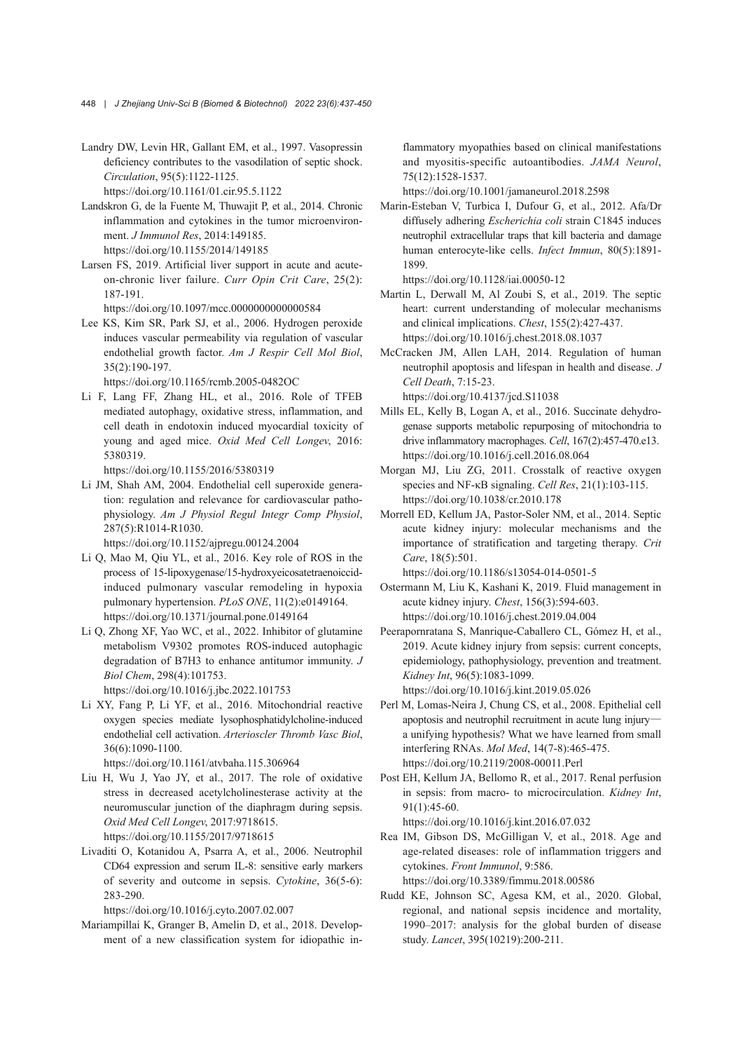- Landry DW, Levin HR, Gallant EM, et al., 1997. Vasopressin deficiency contributes to the vasodilation of septic shock. *Circulation*, 95(5):1122-1125. https://doi.org/10.1161/01.cir.95.5.1122
- Landskron G, de la Fuente M, Thuwajit P, et al., 2014. Chronic inflammation and cytokines in the tumor microenviron‐ ment. *J Immunol Res*, 2014:149185. https://doi.org/10.1155/2014/149185
- Larsen FS, 2019. Artificial liver support in acute and acuteon-chronic liver failure. *Curr Opin Crit Care*, 25(2): 187-191.

https://doi.org/10.1097/mcc.0000000000000584

Lee KS, Kim SR, Park SJ, et al., 2006. Hydrogen peroxide induces vascular permeability via regulation of vascular endothelial growth factor. *Am J Respir Cell Mol Biol*, 35(2):190-197.

https://doi.org/10.1165/rcmb.2005-0482OC

Li F, Lang FF, Zhang HL, et al., 2016. Role of TFEB mediated autophagy, oxidative stress, inflammation, and cell death in endotoxin induced myocardial toxicity of young and aged mice. *Oxid Med Cell Longev*, 2016: 5380319.

https://doi.org/10.1155/2016/5380319

Li JM, Shah AM, 2004. Endothelial cell superoxide genera‐ tion: regulation and relevance for cardiovascular pathophysiology. *Am J Physiol Regul Integr Comp Physiol*, 287(5):R1014-R1030.

https://doi.org/10.1152/ajpregu.00124.2004

- Li Q, Mao M, Qiu YL, et al., 2016. Key role of ROS in the process of 15-lipoxygenase/15-hydroxyeicosatetraenoiccidinduced pulmonary vascular remodeling in hypoxia pulmonary hypertension. *PLoS ONE*, 11(2):e0149164. https://doi.org/10.1371/journal.pone.0149164
- Li Q, Zhong XF, Yao WC, et al., 2022. Inhibitor of glutamine metabolism V9302 promotes ROS-induced autophagic degradation of B7H3 to enhance antitumor immunity. *J Biol Chem*, 298(4):101753. https://doi.org/10.1016/j.jbc.2022.101753
- Li XY, Fang P, Li YF, et al., 2016. Mitochondrial reactive oxygen species mediate lysophosphatidylcholine-induced endothelial cell activation. *Arterioscler Thromb Vasc Biol*, 36(6):1090-1100.

https://doi.org/10.1161/atvbaha.115.306964

- Liu H, Wu J, Yao JY, et al., 2017. The role of oxidative stress in decreased acetylcholinesterase activity at the neuromuscular junction of the diaphragm during sepsis. *Oxid Med Cell Longev*, 2017:9718615. https://doi.org/10.1155/2017/9718615
- Livaditi O, Kotanidou A, Psarra A, et al., 2006. Neutrophil CD64 expression and serum IL-8: sensitive early markers of severity and outcome in sepsis. *Cytokine*, 36(5-6): 283-290.

https://doi.org/10.1016/j.cyto.2007.02.007

Mariampillai K, Granger B, Amelin D, et al., 2018. Develop‐ ment of a new classification system for idiopathic inflammatory myopathies based on clinical manifestations and myositis-specific autoantibodies. *JAMA Neurol*, 75(12):1528-1537.

https://doi.org/10.1001/jamaneurol.2018.2598

Marin-Esteban V, Turbica I, Dufour G, et al., 2012. Afa/Dr diffusely adhering *Escherichia coli* strain C1845 induces neutrophil extracellular traps that kill bacteria and damage human enterocyte-like cells. *Infect Immun*, 80(5):1891- 1899.

https://doi.org/10.1128/iai.00050-12

- Martin L, Derwall M, Al Zoubi S, et al., 2019. The septic heart: current understanding of molecular mechanisms and clinical implications. *Chest*, 155(2):427-437. https://doi.org/10.1016/j.chest.2018.08.1037
- McCracken JM, Allen LAH, 2014. Regulation of human neutrophil apoptosis and lifespan in health and disease. *J Cell Death*, 7:15-23. https://doi.org/10.4137/jcd.S11038
- Mills EL, Kelly B, Logan A, et al., 2016. Succinate dehydro‐ genase supports metabolic repurposing of mitochondria to drive inflammatory macrophages. *Cell*, 167(2):457-470.e13. https://doi.org/10.1016/j.cell.2016.08.064
- Morgan MJ, Liu ZG, 2011. Crosstalk of reactive oxygen species and NF-κB signaling. *Cell Res*, 21(1):103-115. https://doi.org/10.1038/cr.2010.178
- Morrell ED, Kellum JA, Pastor-Soler NM, et al., 2014. Septic acute kidney injury: molecular mechanisms and the importance of stratification and targeting therapy. *Crit Care*, 18(5):501.

https://doi.org/10.1186/s13054-014-0501-5

- Ostermann M, Liu K, Kashani K, 2019. Fluid management in acute kidney injury. *Chest*, 156(3):594-603. https://doi.org/10.1016/j.chest.2019.04.004
- Peerapornratana S, Manrique-Caballero CL, Gómez H, et al., 2019. Acute kidney injury from sepsis: current concepts, epidemiology, pathophysiology, prevention and treatment. *Kidney Int*, 96(5):1083-1099. https://doi.org/10.1016/j.kint.2019.05.026
- Perl M, Lomas-Neira J, Chung CS, et al., 2008. Epithelial cell apoptosis and neutrophil recruitment in acute lung injury a unifying hypothesis? What we have learned from small interfering RNAs. *Mol Med*, 14(7-8):465-475. https://doi.org/10.2119/2008-00011.Perl
- Post EH, Kellum JA, Bellomo R, et al., 2017. Renal perfusion in sepsis: from macro- to microcirculation. *Kidney Int*, 91(1):45-60. https://doi.org/10.1016/j.kint.2016.07.032

Rea IM, Gibson DS, McGilligan V, et al., 2018. Age and age-related diseases: role of inflammation triggers and cytokines. *Front Immunol*, 9:586. https://doi.org/10.3389/fimmu.2018.00586

Rudd KE, Johnson SC, Agesa KM, et al., 2020. Global, regional, and national sepsis incidence and mortality, 1990–2017: analysis for the global burden of disease study. *Lancet*, 395(10219):200-211.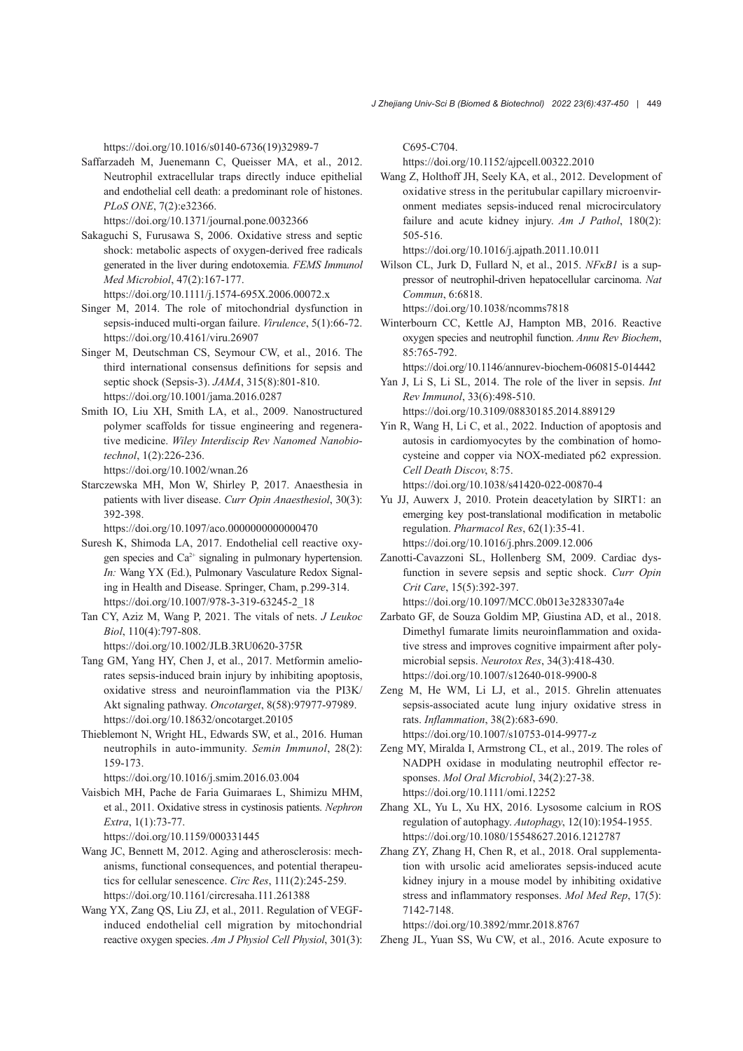https://doi.org/10.1016/s0140-6736(19)32989-7

Saffarzadeh M, Juenemann C, Queisser MA, et al., 2012. Neutrophil extracellular traps directly induce epithelial and endothelial cell death: a predominant role of histones. *PLoS ONE*, 7(2):e32366.

https://doi.org/10.1371/journal.pone.0032366

- Sakaguchi S, Furusawa S, 2006. Oxidative stress and septic shock: metabolic aspects of oxygen-derived free radicals generated in the liver during endotoxemia. *FEMS Immunol Med Microbiol*, 47(2):167-177. https://doi.org/10.1111/j.1574-695X.2006.00072.x
- Singer M, 2014. The role of mitochondrial dysfunction in sepsis-induced multi-organ failure. *Virulence*, 5(1):66-72. https://doi.org/10.4161/viru.26907
- Singer M, Deutschman CS, Seymour CW, et al., 2016. The third international consensus definitions for sepsis and septic shock (Sepsis-3). *JAMA*, 315(8):801-810. https://doi.org/10.1001/jama.2016.0287
- Smith IO, Liu XH, Smith LA, et al., 2009. Nanostructured polymer scaffolds for tissue engineering and regenera‐ tive medicine. *Wiley Interdiscip Rev Nanomed Nanobio‐ technol*, 1(2):226-236. https://doi.org/10.1002/wnan.26
- Starczewska MH, Mon W, Shirley P, 2017. Anaesthesia in patients with liver disease. *Curr Opin Anaesthesiol*, 30(3): 392-398.

https://doi.org/10.1097/aco.0000000000000470

Suresh K, Shimoda LA, 2017. Endothelial cell reactive oxy‐ gen species and  $Ca^{2+}$  signaling in pulmonary hypertension. *In:* Wang YX (Ed.), Pulmonary Vasculature Redox Signal‐ ing in Health and Disease. Springer, Cham, p.299-314. https://doi.org/10.1007/978-3-319-63245-2\_18

Tan CY, Aziz M, Wang P, 2021. The vitals of nets. *J Leukoc Biol*, 110(4):797-808. https://doi.org/10.1002/JLB.3RU0620-375R

- Tang GM, Yang HY, Chen J, et al., 2017. Metformin amelio‐ rates sepsis-induced brain injury by inhibiting apoptosis, oxidative stress and neuroinflammation via the PI3K/ Akt signaling pathway. *Oncotarget*, 8(58):97977-97989. https://doi.org/10.18632/oncotarget.20105
- Thieblemont N, Wright HL, Edwards SW, et al., 2016. Human neutrophils in auto-immunity. *Semin Immunol*, 28(2): 159-173.

https://doi.org/10.1016/j.smim.2016.03.004

Vaisbich MH, Pache de Faria Guimaraes L, Shimizu MHM, et al., 2011. Oxidative stress in cystinosis patients. *Nephron Extra*, 1(1):73-77.

https://doi.org/10.1159/000331445

- Wang JC, Bennett M, 2012. Aging and atherosclerosis: mechanisms, functional consequences, and potential therapeu‐ tics for cellular senescence. *Circ Res*, 111(2):245-259. https://doi.org/10.1161/circresaha.111.261388
- Wang YX, Zang QS, Liu ZJ, et al., 2011. Regulation of VEGFinduced endothelial cell migration by mitochondrial reactive oxygen species. *Am J Physiol Cell Physiol*, 301(3):

C695-C704.

https://doi.org/10.1152/ajpcell.00322.2010

Wang Z, Holthoff JH, Seely KA, et al., 2012. Development of oxidative stress in the peritubular capillary microenvironment mediates sepsis-induced renal microcirculatory failure and acute kidney injury. *Am J Pathol*, 180(2): 505-516.

https://doi.org/10.1016/j.ajpath.2011.10.011

Wilson CL, Jurk D, Fullard N, et al., 2015. *NFκB1* is a sup‐ pressor of neutrophil-driven hepatocellular carcinoma. *Nat Commun*, 6:6818.

https://doi.org/10.1038/ncomms7818

Winterbourn CC, Kettle AJ, Hampton MB, 2016. Reactive oxygen species and neutrophil function. *Annu Rev Biochem*, 85:765-792.

https://doi.org/10.1146/annurev-biochem-060815-014442

Yan J, Li S, Li SL, 2014. The role of the liver in sepsis. *Int Rev Immunol*, 33(6):498-510.

https://doi.org/10.3109/08830185.2014.889129

Yin R, Wang H, Li C, et al., 2022. Induction of apoptosis and autosis in cardiomyocytes by the combination of homo‐ cysteine and copper via NOX-mediated p62 expression. *Cell Death Discov*, 8:75.

https://doi.org/10.1038/s41420-022-00870-4

- Yu JJ, Auwerx J, 2010. Protein deacetylation by SIRT1: an emerging key post-translational modification in metabolic regulation. *Pharmacol Res*, 62(1):35-41. https://doi.org/10.1016/j.phrs.2009.12.006
- Zanotti-Cavazzoni SL, Hollenberg SM, 2009. Cardiac dys‐ function in severe sepsis and septic shock. *Curr Opin Crit Care*, 15(5):392-397.

https://doi.org/10.1097/MCC.0b013e3283307a4e Zarbato GF, de Souza Goldim MP, Giustina AD, et al., 2018. Dimethyl fumarate limits neuroinflammation and oxida‐ tive stress and improves cognitive impairment after poly‐

microbial sepsis. *Neurotox Res*, 34(3):418-430.

- https://doi.org/10.1007/s12640-018-9900-8 Zeng M, He WM, Li LJ, et al., 2015. Ghrelin attenuates sepsis-associated acute lung injury oxidative stress in rats. *Inflammation*, 38(2):683-690. https://doi.org/10.1007/s10753-014-9977-z
- Zeng MY, Miralda I, Armstrong CL, et al., 2019. The roles of NADPH oxidase in modulating neutrophil effector re‐ sponses. *Mol Oral Microbiol*, 34(2):27-38. https://doi.org/10.1111/omi.12252
- Zhang XL, Yu L, Xu HX, 2016. Lysosome calcium in ROS regulation of autophagy. *Autophagy*, 12(10):1954-1955. https://doi.org/10.1080/15548627.2016.1212787
- Zhang ZY, Zhang H, Chen R, et al., 2018. Oral supplementa‐ tion with ursolic acid ameliorates sepsis-induced acute kidney injury in a mouse model by inhibiting oxidative stress and inflammatory responses. *Mol Med Rep*, 17(5): 7142-7148.

https://doi.org/10.3892/mmr.2018.8767

Zheng JL, Yuan SS, Wu CW, et al., 2016. Acute exposure to